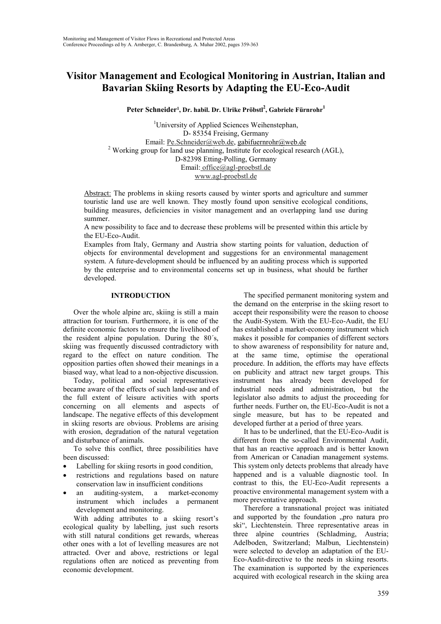# **Visitor Management and Ecological Monitoring in Austrian, Italian and Bavarian Skiing Resorts by Adapting the EU-Eco-Audit**

**Peter Schneider1, Dr. habil. Dr. Ulrike Pröbstl<sup>2</sup> , Gabriele Fürnrohr1**

<sup>1</sup>University of Applied Sciences Weihenstephan, D- 85354 Freising, Germany Email: Pe.Schneider@web.de, gabifuernrohr@web.de <sup>2</sup> Working group for land use planning, Institute for ecological research  $(AGL)$ , D-82398 Etting-Polling, Germany Email: office@agl-proebstl.de www.agl-proebstl.de

Abstract: The problems in skiing resorts caused by winter sports and agriculture and summer touristic land use are well known. They mostly found upon sensitive ecological conditions, building measures, deficiencies in visitor management and an overlapping land use during summer.

A new possibility to face and to decrease these problems will be presented within this article by the EU-Eco-Audit.

Examples from Italy, Germany and Austria show starting points for valuation, deduction of objects for environmental development and suggestions for an environmental management system. A future-development should be influenced by an auditing process which is supported by the enterprise and to environmental concerns set up in business, what should be further developed.

### **INTRODUCTION**

Over the whole alpine arc, skiing is still a main attraction for tourism. Furthermore, it is one of the definite economic factors to ensure the livelihood of the resident alpine population. During the 80´s, skiing was frequently discussed contradictory with regard to the effect on nature condition. The opposition parties often showed their meanings in a biased way, what lead to a non-objective discussion.

Today, political and social representatives became aware of the effects of such land-use and of the full extent of leisure activities with sports concerning on all elements and aspects of landscape. The negative effects of this development in skiing resorts are obvious. Problems are arising with erosion, degradation of the natural vegetation and disturbance of animals.

To solve this conflict, three possibilities have been discussed:

- Labelling for skiing resorts in good condition,
- restrictions and regulations based on nature conservation law in insufficient conditions
- an auditing-system, a market-economy instrument which includes a permanent development and monitoring.

With adding attributes to a skiing resort's ecological quality by labelling, just such resorts with still natural conditions get rewards, whereas other ones with a lot of levelling measures are not attracted. Over and above, restrictions or legal regulations often are noticed as preventing from economic development.

The specified permanent monitoring system and the demand on the enterprise in the skiing resort to accept their responsibility were the reason to choose the Audit-System. With the EU-Eco-Audit, the EU has established a market-economy instrument which makes it possible for companies of different sectors to show awareness of responsibility for nature and, at the same time, optimise the operational procedure. In addition, the efforts may have effects on publicity and attract new target groups. This instrument has already been developed for industrial needs and administration, but the legislator also admits to adjust the proceeding for further needs. Further on, the EU-Eco-Audit is not a single measure, but has to be repeated and developed further at a period of three years.

It has to be underlined, that the EU-Eco-Audit is different from the so-called Environmental Audit, that has an reactive approach and is better known from American or Canadian management systems. This system only detects problems that already have happened and is a valuable diagnostic tool. In contrast to this, the EU-Eco-Audit represents a proactive environmental management system with a more preventative approach.

Therefore a transnational project was initiated and supported by the foundation "pro natura pro ski", Liechtenstein. Three representative areas in three alpine countries (Schladming, Austria; Adelboden, Switzerland; Malbun, Liechtenstein) were selected to develop an adaptation of the EU-Eco-Audit-directive to the needs in skiing resorts. The examination is supported by the experiences acquired with ecological research in the skiing area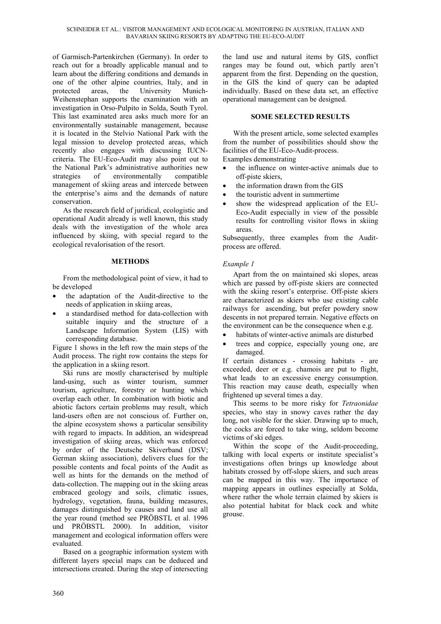of Garmisch-Partenkirchen (Germany). In order to reach out for a broadly applicable manual and to learn about the differing conditions and demands in one of the other alpine countries, Italy, and in protected areas, the University Munich-Weihenstephan supports the examination with an investigation in Orso-Pulpito in Solda, South Tyrol. This last examinated area asks much more for an environmentally sustainable management, because it is located in the Stelvio National Park with the legal mission to develop protected areas, which recently also engages with discussing IUCNcriteria. The EU-Eco-Audit may also point out to the National Park's administrative authorities new strategies of environmentally compatible management of skiing areas and intercede between the enterprise's aims and the demands of nature conservation.

As the research field of juridical, ecologistic and operational Audit already is well known, this study deals with the investigation of the whole area influenced by skiing, with special regard to the ecological revalorisation of the resort.

### **METHODS**

From the methodological point of view, it had to be developed

- the adaptation of the Audit-directive to the needs of application in skiing areas,
- a standardised method for data-collection with suitable inquiry and the structure of a Landscape Information System (LIS) with corresponding database.

Figure 1 shows in the left row the main steps of the Audit process. The right row contains the steps for the application in a skiing resort.

Ski runs are mostly characterised by multiple land-using, such as winter tourism, summer tourism, agriculture, forestry or hunting which overlap each other. In combination with biotic and abiotic factors certain problems may result, which land-users often are not conscious of. Further on, the alpine ecosystem shows a particular sensibility with regard to impacts. In addition, an widespread investigation of skiing areas, which was enforced by order of the Deutsche Skiverband (DSV; German skiing association), delivers clues for the possible contents and focal points of the Audit as well as hints for the demands on the method of data-collection. The mapping out in the skiing areas embraced geology and soils, climatic issues, hydrology, vegetation, fauna, building measures, damages distinguished by causes and land use all the year round (method see PRÖBSTL et al. 1996 und PRÖBSTL 2000). In addition, visitor management and ecological information offers were evaluated.

Based on a geographic information system with different layers special maps can be deduced and intersections created. During the step of intersecting

the land use and natural items by GIS, conflict ranges may be found out, which partly aren't apparent from the first. Depending on the question, in the GIS the kind of query can be adapted individually. Based on these data set, an effective operational management can be designed.

### **SOME SELECTED RESULTS**

With the present article, some selected examples from the number of possibilities should show the facilities of the EU-Eco-Audit-process.

Examples demonstrating

- the influence on winter-active animals due to off-piste skiers,
- the information drawn from the GIS
- the touristic advent in summertime
- show the widespread application of the EU-Eco-Audit especially in view of the possible results for controlling visitor flows in skiing areas.

Subsequently, three examples from the Auditprocess are offered.

## *Example 1*

Apart from the on maintained ski slopes, areas which are passed by off-piste skiers are connected with the skiing resort's enterprise. Off-piste skiers are characterized as skiers who use existing cable railways for ascending, but prefer powdery snow descents in not prepared terrain. Negative effects on the environment can be the consequence when e.g.

- habitats of winter-active animals are disturbed
- trees and coppice, especially young one, are damaged.

If certain distances - crossing habitats - are exceeded, deer or e.g. chamois are put to flight, what leads to an excessive energy consumption. This reaction may cause death, especially when frightened up several times a day.

This seems to be more risky for *Tetraonidae* species, who stay in snowy caves rather the day long, not visible for the skier. Drawing up to much, the cocks are forced to take wing, seldom become victims of ski edges.

Within the scope of the Audit-proceeding, talking with local experts or institute specialist's investigations often brings up knowledge about habitats crossed by off-slope skiers, and such areas can be mapped in this way. The importance of mapping appears in outlines especially at Solda, where rather the whole terrain claimed by skiers is also potential habitat for black cock and white grouse.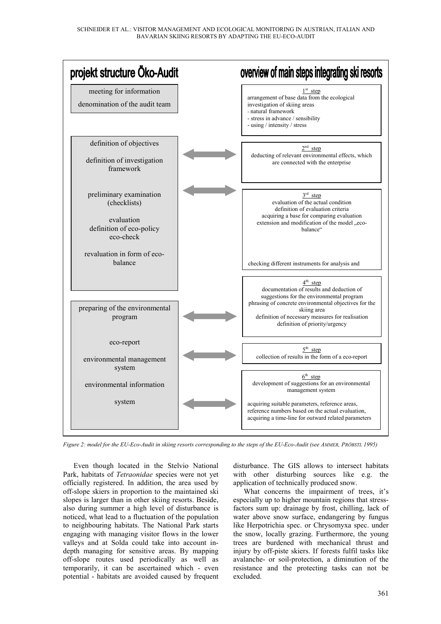

*Figure 2: model for the EU-Eco-Audit in skiing resorts corresponding to the steps of the EU-Eco-Audit (see AMMER, PRÖBSTL 1995)*

Even though located in the Stelvio National Park, habitats of *Tetraonidae* species were not yet officially registered. In addition, the area used by off-slope skiers in proportion to the maintained ski slopes is larger than in other skiing resorts. Beside, also during summer a high level of disturbance is noticed, what lead to a fluctuation of the population to neighbouring habitats. The National Park starts engaging with managing visitor flows in the lower valleys and at Solda could take into account indepth managing for sensitive areas. By mapping off-slope routes used periodically as well as temporarily, it can be ascertained which - even potential - habitats are avoided caused by frequent disturbance. The GIS allows to intersect habitats with other disturbing sources like e.g. the application of technically produced snow.

What concerns the impairment of trees, it's especially up to higher mountain regions that stressfactors sum up: drainage by frost, chilling, lack of water above snow surface, endangering by fungus like Herpotrichia spec. or Chrysomyxa spec. under the snow, locally grazing. Furthermore, the young trees are burdened with mechanical thrust and injury by off-piste skiers. If forests fulfil tasks like avalanche- or soil-protection, a diminution of the resistance and the protecting tasks can not be excluded.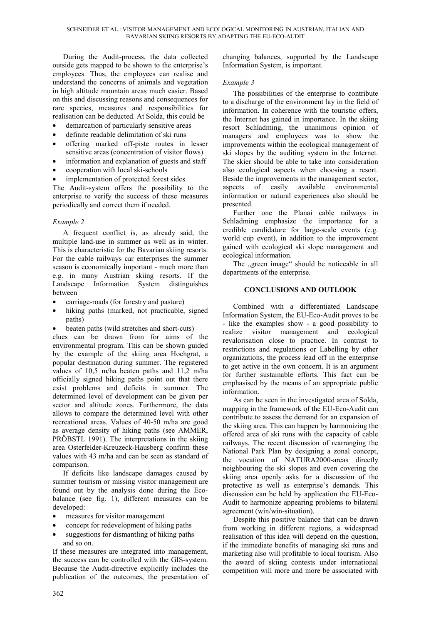During the Audit-process, the data collected outside gets mapped to be shown to the enterprise's employees. Thus, the employees can realise and understand the concerns of animals and vegetation in high altitude mountain areas much easier. Based on this and discussing reasons and consequences for rare species, measures and responsibilities for realisation can be deducted. At Solda, this could be

- demarcation of particularly sensitive areas
- definite readable delimitation of ski runs
- offering marked off-piste routes in lesser sensitive areas (concentration of visitor flows)
- information and explanation of guests and staff
- cooperation with local ski-schools
- implementation of protected forest sides

The Audit-system offers the possibility to the enterprise to verify the success of these measures periodically and correct them if needed.

#### *Example 2*

A frequent conflict is, as already said, the multiple land-use in summer as well as in winter. This is characteristic for the Bavarian skiing resorts. For the cable railways car enterprises the summer season is economically important - much more than e.g. in many Austrian skiing resorts. If the Landscape Information System distinguishes between

- carriage-roads (for forestry and pasture)
- hiking paths (marked, not practicable, signed paths)

• beaten paths (wild stretches and short-cuts)

clues can be drawn from for aims of the environmental program. This can be shown guided by the example of the skiing area Hochgrat, a popular destination during summer. The registered values of 10,5 m/ha beaten paths and 11,2 m/ha officially signed hiking paths point out that there exist problems and deficits in summer. The determined level of development can be given per sector and altitude zones. Furthermore, the data allows to compare the determined level with other recreational areas. Values of 40-50 m/ha are good as average density of hiking paths (see AMMER, PRÖBSTL 1991). The interpretations in the skiing area Osterfelder-Kreuzeck-Hausberg confirm these values with 43 m/ha and can be seen as standard of comparison.

If deficits like landscape damages caused by summer tourism or missing visitor management are found out by the analysis done during the Ecobalance (see fig. 1), different measures can be developed:

- measures for visitor management
- concept for redevelopment of hiking paths
- suggestions for dismantling of hiking paths and so on.

If these measures are integrated into management, the success can be controlled with the GIS-system. Because the Audit-directive explicitly includes the publication of the outcomes, the presentation of changing balances, supported by the Landscape Information System, is important.

### *Example 3*

The possibilities of the enterprise to contribute to a discharge of the environment lay in the field of information. In coherence with the touristic offers, the Internet has gained in importance. In the skiing resort Schladming, the unanimous opinion of managers and employees was to show the improvements within the ecological management of ski slopes by the auditing system in the Internet. The skier should be able to take into consideration also ecological aspects when choosing a resort. Beside the improvements in the management sector, aspects of easily available environmental information or natural experiences also should be presented.

Further one the Planai cable railways in Schladming emphasize the importance for a credible candidature for large-scale events (e.g. world cup event), in addition to the improvement gained with ecological ski slope management and ecological information.

The <sub>sep</sub>reen image" should be noticeable in all departments of the enterprise.

### **CONCLUSIONS AND OUTLOOK**

Combined with a differentiated Landscape Information System, the EU-Eco-Audit proves to be - like the examples show - a good possibility to realize visitor management and ecological revalorisation close to practice. In contrast to restrictions and regulations or Labelling by other organizations, the process lead off in the enterprise to get active in the own concern. It is an argument for further sustainable efforts. This fact can be emphasised by the means of an appropriate public information.

As can be seen in the investigated area of Solda, mapping in the framework of the EU-Eco-Audit can contribute to assess the demand for an expansion of the skiing area. This can happen by harmonizing the offered area of ski runs with the capacity of cable railways. The recent discussion of rearranging the National Park Plan by designing a zonal concept, the vocation of NATURA2000-areas directly neighbouring the ski slopes and even covering the skiing area openly asks for a discussion of the protective as well as enterprise's demands. This discussion can be held by application the EU-Eco-Audit to harmonize appearing problems to bilateral agreement (win/win-situation).

Despite this positive balance that can be drawn from working in different regions, a widespread realisation of this idea will depend on the question, if the immediate benefits of managing ski runs and marketing also will profitable to local tourism. Also the award of skiing contests under international competition will more and more be associated with